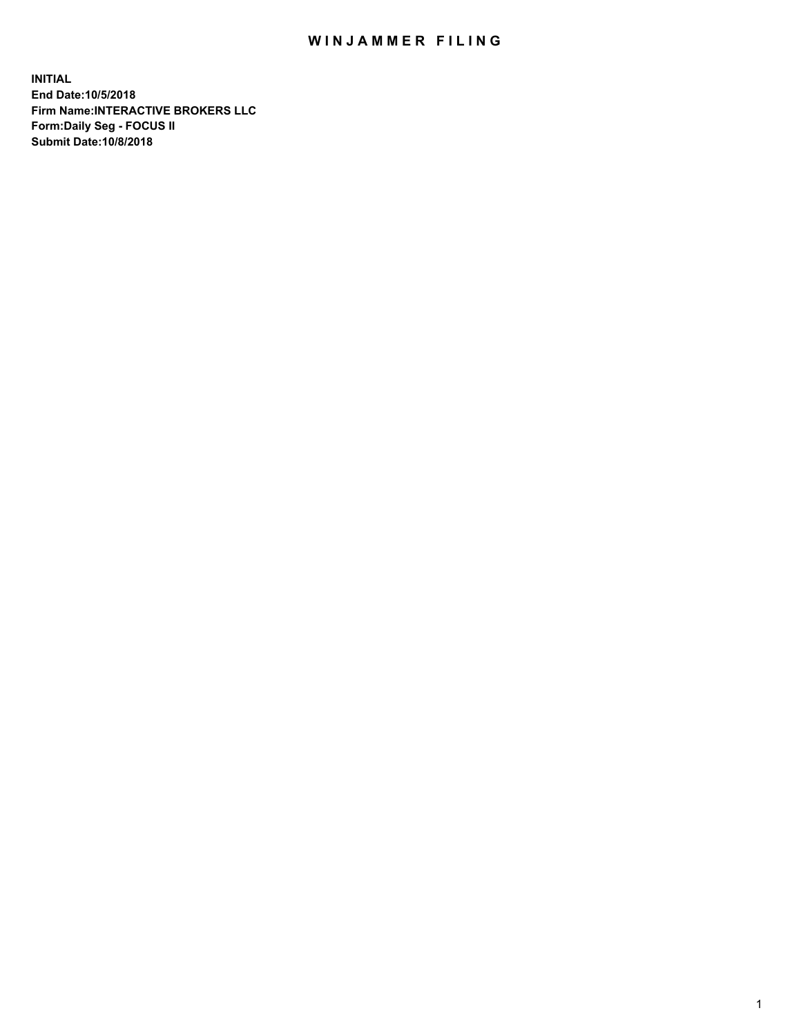## WIN JAMMER FILING

**INITIAL End Date:10/5/2018 Firm Name:INTERACTIVE BROKERS LLC Form:Daily Seg - FOCUS II Submit Date:10/8/2018**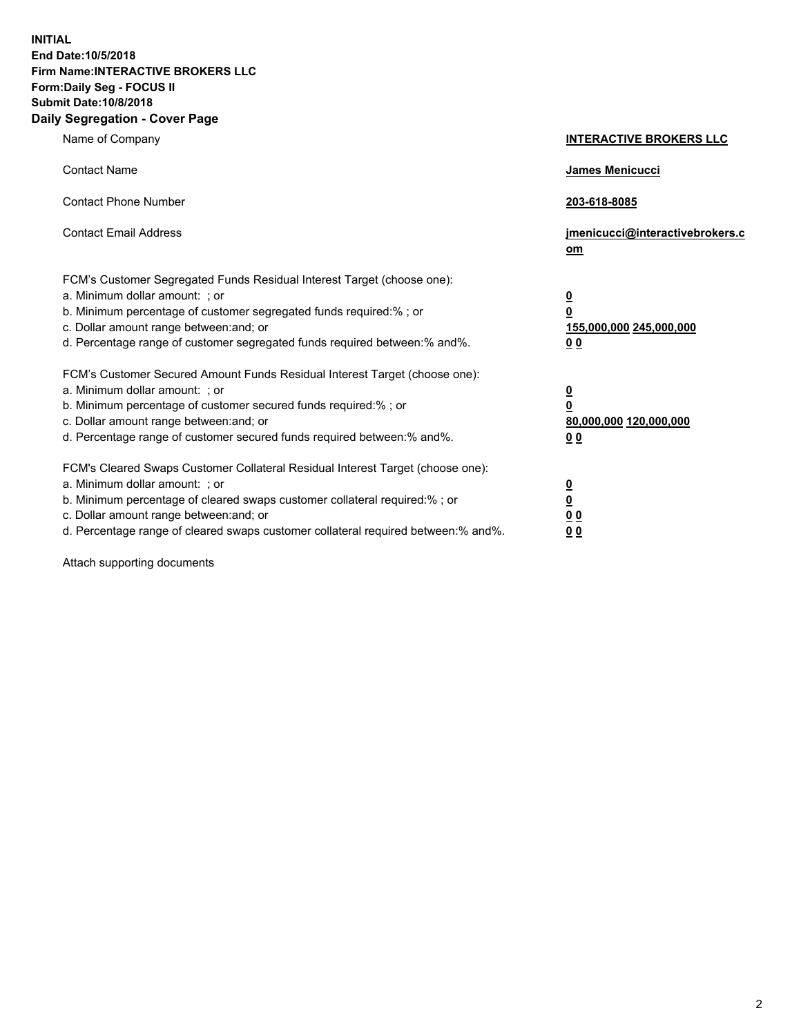**INITIAL End Date:10/5/2018 Firm Name:INTERACTIVE BROKERS LLC Form:Daily Seg - FOCUS II Submit Date:10/8/2018 Daily Segregation - Cover Page**

| Name of Company                                                                                                                                                                                                                                                                                                                | <b>INTERACTIVE BROKERS LLC</b>                                                                  |
|--------------------------------------------------------------------------------------------------------------------------------------------------------------------------------------------------------------------------------------------------------------------------------------------------------------------------------|-------------------------------------------------------------------------------------------------|
| <b>Contact Name</b>                                                                                                                                                                                                                                                                                                            | James Menicucci                                                                                 |
| <b>Contact Phone Number</b>                                                                                                                                                                                                                                                                                                    | 203-618-8085                                                                                    |
| <b>Contact Email Address</b>                                                                                                                                                                                                                                                                                                   | jmenicucci@interactivebrokers.c<br>om                                                           |
| FCM's Customer Segregated Funds Residual Interest Target (choose one):<br>a. Minimum dollar amount: ; or<br>b. Minimum percentage of customer segregated funds required:% ; or<br>c. Dollar amount range between: and; or<br>d. Percentage range of customer segregated funds required between:% and%.                         | $\overline{\mathbf{0}}$<br>$\overline{\mathbf{0}}$<br>155,000,000 245,000,000<br>0 <sub>0</sub> |
| FCM's Customer Secured Amount Funds Residual Interest Target (choose one):<br>a. Minimum dollar amount: ; or<br>b. Minimum percentage of customer secured funds required:% ; or<br>c. Dollar amount range between: and; or<br>d. Percentage range of customer secured funds required between:% and%.                           | $\overline{\mathbf{0}}$<br>0<br>80,000,000 120,000,000<br>0 <sub>0</sub>                        |
| FCM's Cleared Swaps Customer Collateral Residual Interest Target (choose one):<br>a. Minimum dollar amount: ; or<br>b. Minimum percentage of cleared swaps customer collateral required:% ; or<br>c. Dollar amount range between: and; or<br>d. Percentage range of cleared swaps customer collateral required between:% and%. | $\overline{\mathbf{0}}$<br><u>0</u><br>$\underline{0}$ $\underline{0}$<br>00                    |

Attach supporting documents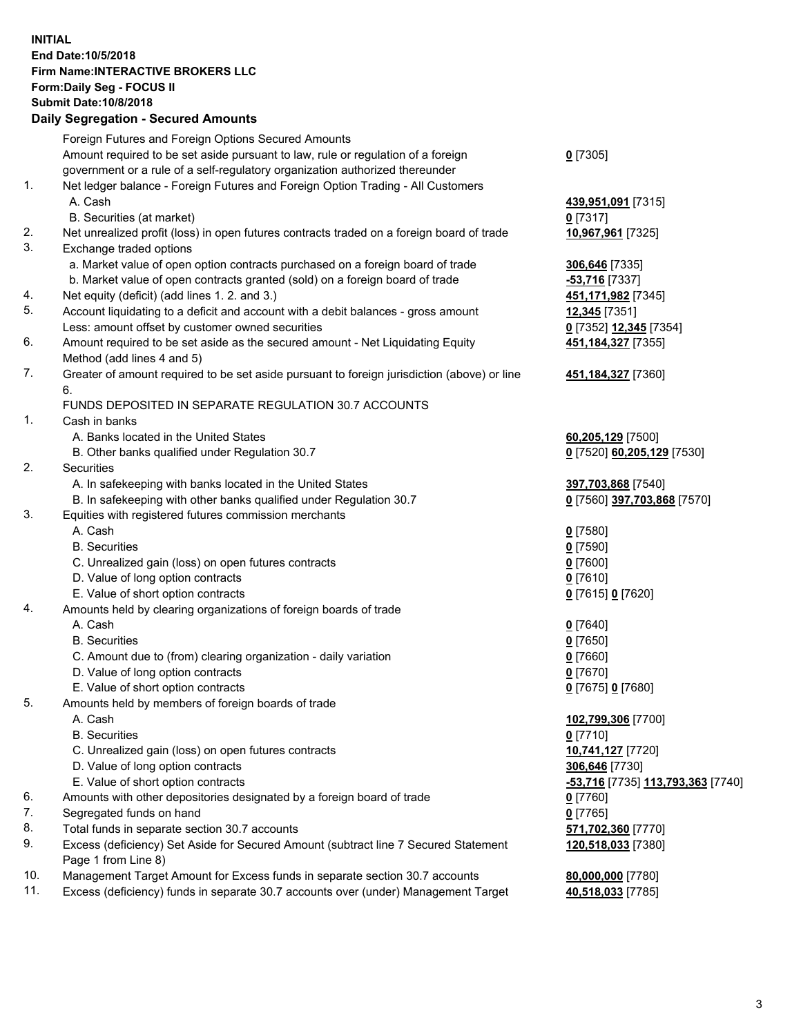## **INITIAL End Date:10/5/2018 Firm Name:INTERACTIVE BROKERS LLC Form:Daily Seg - FOCUS II Submit Date:10/8/2018 Daily Segregation - Secured Amounts**

|     | Daily Segregation - Secured Amounts                                                               |                                   |
|-----|---------------------------------------------------------------------------------------------------|-----------------------------------|
|     | Foreign Futures and Foreign Options Secured Amounts                                               |                                   |
|     | Amount required to be set aside pursuant to law, rule or regulation of a foreign                  | $Q$ [7305]                        |
|     | government or a rule of a self-regulatory organization authorized thereunder                      |                                   |
| 1.  | Net ledger balance - Foreign Futures and Foreign Option Trading - All Customers                   |                                   |
|     | A. Cash                                                                                           | 439,951,091 [7315]                |
|     | B. Securities (at market)                                                                         | 0 [7317]                          |
| 2.  | Net unrealized profit (loss) in open futures contracts traded on a foreign board of trade         | 10,967,961 [7325]                 |
| 3.  | Exchange traded options                                                                           |                                   |
|     | a. Market value of open option contracts purchased on a foreign board of trade                    | 306,646 [7335]                    |
|     | b. Market value of open contracts granted (sold) on a foreign board of trade                      | -53,716 [7337]                    |
| 4.  | Net equity (deficit) (add lines 1. 2. and 3.)                                                     | 451,171,982 [7345]                |
| 5.  | Account liquidating to a deficit and account with a debit balances - gross amount                 | 12,345 [7351]                     |
|     | Less: amount offset by customer owned securities                                                  | 0 [7352] 12,345 [7354]            |
| 6.  | Amount required to be set aside as the secured amount - Net Liquidating Equity                    | 451, 184, 327 [7355]              |
|     | Method (add lines 4 and 5)                                                                        |                                   |
| 7.  | Greater of amount required to be set aside pursuant to foreign jurisdiction (above) or line<br>6. | 451, 184, 327 [7360]              |
|     | FUNDS DEPOSITED IN SEPARATE REGULATION 30.7 ACCOUNTS                                              |                                   |
| 1.  | Cash in banks                                                                                     |                                   |
|     | A. Banks located in the United States                                                             | 60,205,129 [7500]                 |
|     | B. Other banks qualified under Regulation 30.7                                                    | 0 [7520] 60,205,129 [7530]        |
| 2.  | Securities                                                                                        |                                   |
|     | A. In safekeeping with banks located in the United States                                         | 397,703,868 [7540]                |
|     | B. In safekeeping with other banks qualified under Regulation 30.7                                | 0 [7560] 397,703,868 [7570]       |
| 3.  | Equities with registered futures commission merchants                                             |                                   |
|     | A. Cash                                                                                           | $0$ [7580]                        |
|     | <b>B.</b> Securities                                                                              | $0$ [7590]                        |
|     | C. Unrealized gain (loss) on open futures contracts                                               | $0$ [7600]                        |
|     | D. Value of long option contracts                                                                 | $0$ [7610]                        |
|     | E. Value of short option contracts                                                                | 0 [7615] 0 [7620]                 |
| 4.  | Amounts held by clearing organizations of foreign boards of trade                                 |                                   |
|     | A. Cash                                                                                           | $Q$ [7640]                        |
|     | <b>B.</b> Securities                                                                              | $0$ [7650]                        |
|     | C. Amount due to (from) clearing organization - daily variation                                   | $0$ [7660]                        |
|     | D. Value of long option contracts                                                                 | $0$ [7670]                        |
|     | E. Value of short option contracts                                                                | 0 [7675] 0 [7680]                 |
| 5.  | Amounts held by members of foreign boards of trade                                                |                                   |
|     | A. Cash                                                                                           | 102,799,306 [7700]                |
|     | <b>B.</b> Securities                                                                              | $0$ [7710]                        |
|     | C. Unrealized gain (loss) on open futures contracts                                               | 10,741,127 [7720]                 |
|     | D. Value of long option contracts                                                                 | 306,646 [7730]                    |
|     | E. Value of short option contracts                                                                | -53,716 [7735] 113,793,363 [7740] |
| 6.  | Amounts with other depositories designated by a foreign board of trade                            | 0 [7760]                          |
| 7.  | Segregated funds on hand                                                                          | $0$ [7765]                        |
| 8.  | Total funds in separate section 30.7 accounts                                                     | 571,702,360 [7770]                |
| 9.  | Excess (deficiency) Set Aside for Secured Amount (subtract line 7 Secured Statement               | 120,518,033 [7380]                |
|     | Page 1 from Line 8)                                                                               |                                   |
| 10. | Management Target Amount for Excess funds in separate section 30.7 accounts                       | 80,000,000 [7780]                 |
| 11. | Excess (deficiency) funds in separate 30.7 accounts over (under) Management Target                | 40,518,033 [7785]                 |
|     |                                                                                                   |                                   |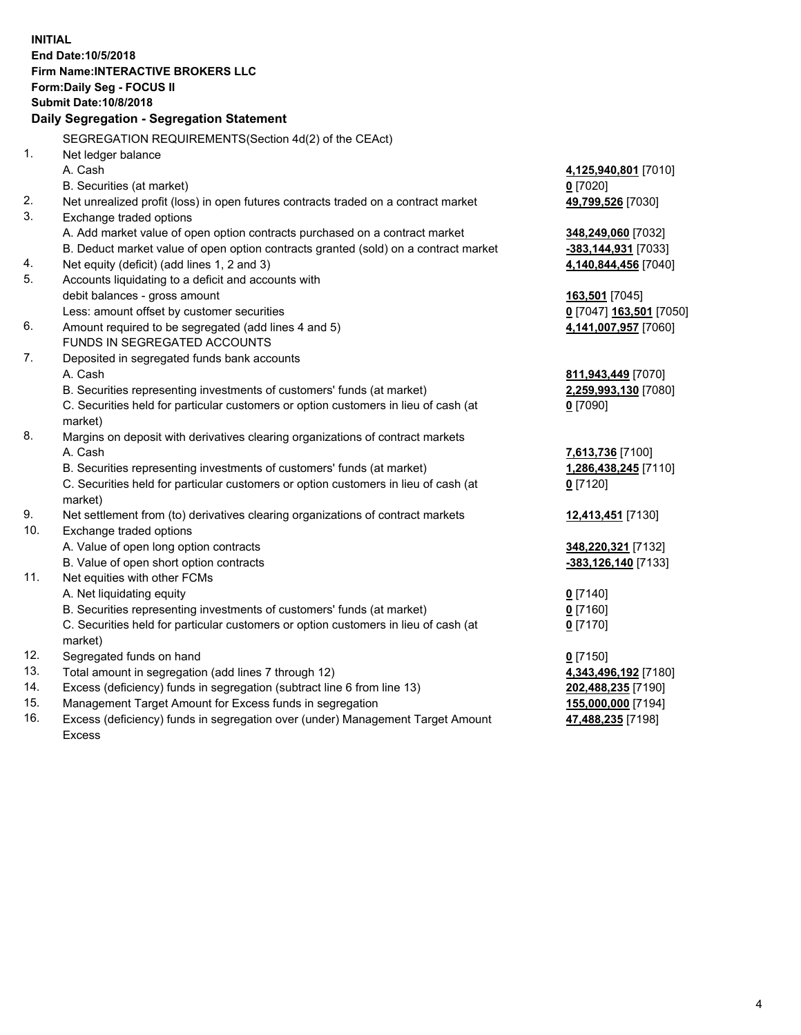**INITIAL End Date:10/5/2018 Firm Name:INTERACTIVE BROKERS LLC Form:Daily Seg - FOCUS II Submit Date:10/8/2018 Daily Segregation - Segregation Statement** SEGREGATION REQUIREMENTS(Section 4d(2) of the CEAct) 1. Net ledger balance A. Cash **4,125,940,801** [7010] B. Securities (at market) **0** [7020] 2. Net unrealized profit (loss) in open futures contracts traded on a contract market **49,799,526** [7030] 3. Exchange traded options A. Add market value of open option contracts purchased on a contract market **348,249,060** [7032] B. Deduct market value of open option contracts granted (sold) on a contract market **-383,144,931** [7033] 4. Net equity (deficit) (add lines 1, 2 and 3) **4,140,844,456** [7040] 5. Accounts liquidating to a deficit and accounts with debit balances - gross amount **163,501** [7045] Less: amount offset by customer securities **0** [7047] **163,501** [7050] 6. Amount required to be segregated (add lines 4 and 5) **4,141,007,957** [7060] FUNDS IN SEGREGATED ACCOUNTS 7. Deposited in segregated funds bank accounts A. Cash **811,943,449** [7070] B. Securities representing investments of customers' funds (at market) **2,259,993,130** [7080] C. Securities held for particular customers or option customers in lieu of cash (at market) **0** [7090] 8. Margins on deposit with derivatives clearing organizations of contract markets A. Cash **7,613,736** [7100] B. Securities representing investments of customers' funds (at market) **1,286,438,245** [7110] C. Securities held for particular customers or option customers in lieu of cash (at market) **0** [7120] 9. Net settlement from (to) derivatives clearing organizations of contract markets **12,413,451** [7130] 10. Exchange traded options A. Value of open long option contracts **348,220,321** [7132] B. Value of open short option contracts **-383,126,140** [7133] 11. Net equities with other FCMs A. Net liquidating equity **0** [7140] B. Securities representing investments of customers' funds (at market) **0** [7160] C. Securities held for particular customers or option customers in lieu of cash (at market) **0** [7170] 12. Segregated funds on hand **0** [7150] 13. Total amount in segregation (add lines 7 through 12) **4,343,496,192** [7180] 14. Excess (deficiency) funds in segregation (subtract line 6 from line 13) **202,488,235** [7190] 15. Management Target Amount for Excess funds in segregation **155,000,000** [7194] 16. Excess (deficiency) funds in segregation over (under) Management Target Amount **47,488,235** [7198]

Excess